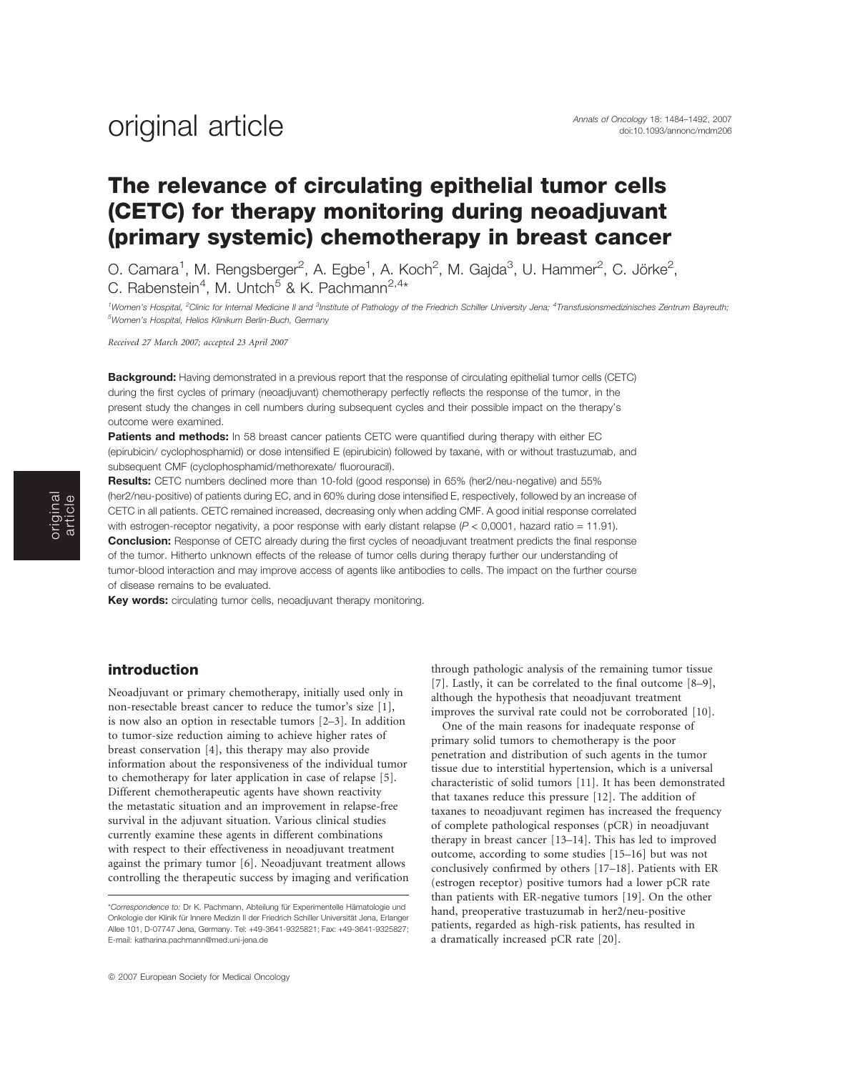### Annals of Oncology 18: 1484–1492, 2007 original article doi:10.1093/annonc/mdm206

### The relevance of circulating epithelial tumor cells (CETC) for therapy monitoring during neoadjuvant (primary systemic) chemotherapy in breast cancer

O. Camara<sup>1</sup>, M. Rengsberger<sup>2</sup>, A. Egbe<sup>1</sup>, A. Koch<sup>2</sup>, M. Gajda<sup>3</sup>, U. Hammer<sup>2</sup>, C. Jörke<sup>2</sup>, C. Rabenstein<sup>4</sup>, M. Untch<sup>5</sup> & K. Pachmann<sup>2,4\*</sup>

<sup>1</sup>Women's Hospital, <sup>2</sup>Clinic for Internal Medicine II and <sup>3</sup>Institute of Pathology of the Friedrich Schiller University Jena; <sup>4</sup>Transfusionsmedizinisches Zentrum Bayreuth; 5 Women's Hospital, Helios Klinikum Berlin-Buch, Germany

Received 27 March 2007; accepted 23 April 2007

Background: Having demonstrated in a previous report that the response of circulating epithelial tumor cells (CETC) during the first cycles of primary (neoadjuvant) chemotherapy perfectly reflects the response of the tumor, in the present study the changes in cell numbers during subsequent cycles and their possible impact on the therapy's outcome were examined.

Patients and methods: In 58 breast cancer patients CETC were quantified during therapy with either EC (epirubicin/ cyclophosphamid) or dose intensified E (epirubicin) followed by taxane, with or without trastuzumab, and subsequent CMF (cyclophosphamid/methorexate/ fluorouracil).

Results: CETC numbers declined more than 10-fold (good response) in 65% (her2/neu-negative) and 55% (her2/neu-positive) of patients during EC, and in 60% during dose intensified E, respectively, followed by an increase of CETC in all patients. CETC remained increased, decreasing only when adding CMF. A good initial response correlated with estrogen-receptor negativity, a poor response with early distant relapse  $(P < 0,0001$ , hazard ratio = 11.91). **Conclusion:** Response of CETC already during the first cycles of neoadjuvant treatment predicts the final response of the tumor. Hitherto unknown effects of the release of tumor cells during therapy further our understanding of tumor-blood interaction and may improve access of agents like antibodies to cells. The impact on the further course of disease remains to be evaluated.

Key words: circulating tumor cells, neoadjuvant therapy monitoring.

#### introduction

Neoadjuvant or primary chemotherapy, initially used only in non-resectable breast cancer to reduce the tumor's size [1], is now also an option in resectable tumors [2–3]. In addition to tumor-size reduction aiming to achieve higher rates of breast conservation [4], this therapy may also provide information about the responsiveness of the individual tumor to chemotherapy for later application in case of relapse [5]. Different chemotherapeutic agents have shown reactivity the metastatic situation and an improvement in relapse-free survival in the adjuvant situation. Various clinical studies currently examine these agents in different combinations with respect to their effectiveness in neoadjuvant treatment against the primary tumor [6]. Neoadjuvant treatment allows controlling the therapeutic success by imaging and verification

through pathologic analysis of the remaining tumor tissue [7]. Lastly, it can be correlated to the final outcome [8–9], although the hypothesis that neoadjuvant treatment improves the survival rate could not be corroborated [10].

One of the main reasons for inadequate response of primary solid tumors to chemotherapy is the poor penetration and distribution of such agents in the tumor tissue due to interstitial hypertension, which is a universal characteristic of solid tumors [11]. It has been demonstrated that taxanes reduce this pressure [12]. The addition of taxanes to neoadjuvant regimen has increased the frequency of complete pathological responses (pCR) in neoadjuvant therapy in breast cancer [13–14]. This has led to improved outcome, according to some studies [15–16] but was not conclusively confirmed by others [17–18]. Patients with ER (estrogen receptor) positive tumors had a lower pCR rate than patients with ER-negative tumors [19]. On the other hand, preoperative trastuzumab in her2/neu-positive patients, regarded as high-risk patients, has resulted in a dramatically increased pCR rate [20].

<sup>\*</sup>Correspondence to: Dr K. Pachmann, Abteilung für Experimentelle Hämatologie und Onkologie der Klinik für Innere Medizin II der Friedrich Schiller Universität Jena, Erlanger Allee 101, D-07747 Jena, Germany. Tel: +49-3641-9325821; Fax: +49-3641-9325827; E-mail: katharina.pachmann@med.uni-jena.de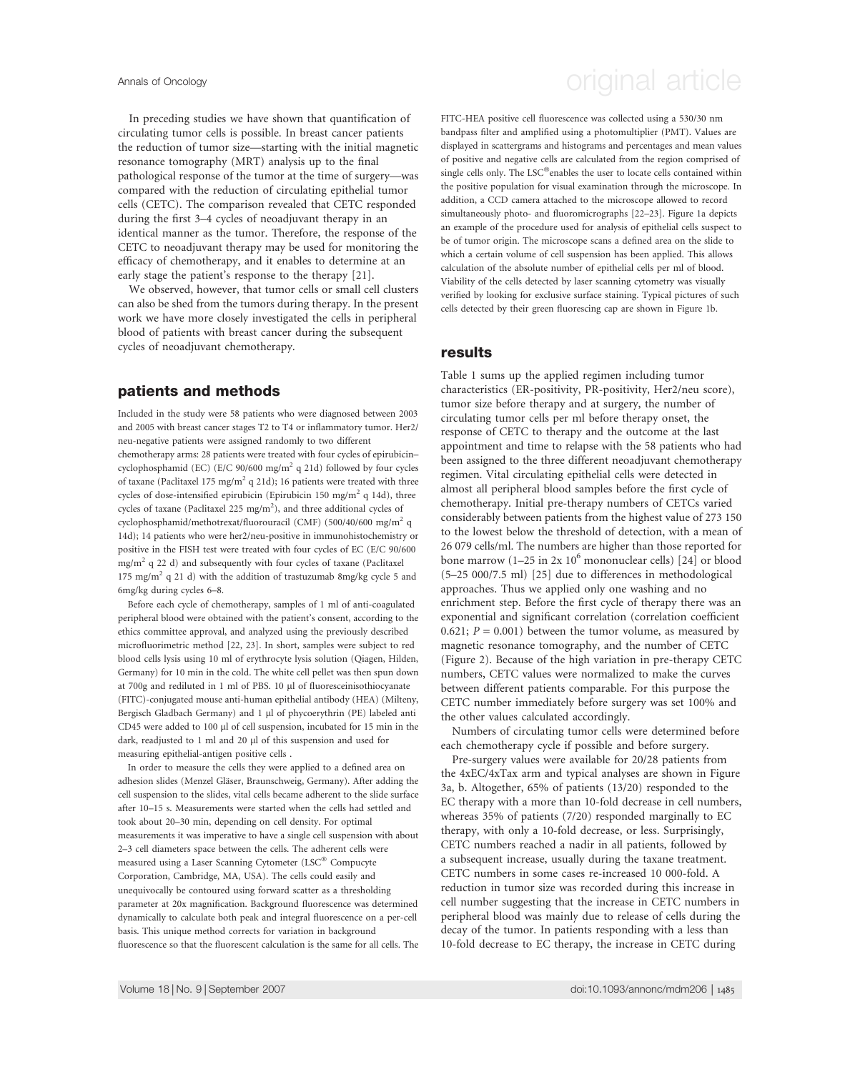In preceding studies we have shown that quantification of circulating tumor cells is possible. In breast cancer patients the reduction of tumor size—starting with the initial magnetic resonance tomography (MRT) analysis up to the final pathological response of the tumor at the time of surgery—was compared with the reduction of circulating epithelial tumor cells (CETC). The comparison revealed that CETC responded during the first 3–4 cycles of neoadjuvant therapy in an identical manner as the tumor. Therefore, the response of the CETC to neoadjuvant therapy may be used for monitoring the efficacy of chemotherapy, and it enables to determine at an early stage the patient's response to the therapy [21].

We observed, however, that tumor cells or small cell clusters can also be shed from the tumors during therapy. In the present work we have more closely investigated the cells in peripheral blood of patients with breast cancer during the subsequent cycles of neoadjuvant chemotherapy.

#### patients and methods

Included in the study were 58 patients who were diagnosed between 2003 and 2005 with breast cancer stages T2 to T4 or inflammatory tumor. Her2/ neu-negative patients were assigned randomly to two different chemotherapy arms: 28 patients were treated with four cycles of epirubicin– cyclophosphamid (EC) (E/C 90/600 mg/m<sup>2</sup> q 21d) followed by four cycles of taxane (Paclitaxel 175 mg/m<sup>2</sup> q 21d); 16 patients were treated with three cycles of dose-intensified epirubicin (Epirubicin 150 mg/m<sup>2</sup> q 14d), three cycles of taxane (Paclitaxel 225 mg/m<sup>2</sup>), and three additional cycles of cyclophosphamid/methotrexat/fluorouracil (CMF) (500/40/600 mg/m<sup>2</sup> q 14d); 14 patients who were her2/neu-positive in immunohistochemistry or positive in the FISH test were treated with four cycles of EC (E/C 90/600  $mg/m<sup>2</sup>$  q 22 d) and subsequently with four cycles of taxane (Paclitaxel 175 mg/m<sup>2</sup> q 21 d) with the addition of trastuzumab 8mg/kg cycle 5 and 6mg/kg during cycles 6–8.

Before each cycle of chemotherapy, samples of 1 ml of anti-coagulated peripheral blood were obtained with the patient's consent, according to the ethics committee approval, and analyzed using the previously described microfluorimetric method [22, 23]. In short, samples were subject to red blood cells lysis using 10 ml of erythrocyte lysis solution (Qiagen, Hilden, Germany) for 10 min in the cold. The white cell pellet was then spun down at 700g and rediluted in 1 ml of PBS. 10 µl of fluoresceinisothiocyanate (FITC)-conjugated mouse anti-human epithelial antibody (HEA) (Milteny, Bergisch Gladbach Germany) and 1 µl of phycoerythrin (PE) labeled anti CD45 were added to 100 µl of cell suspension, incubated for 15 min in the dark, readjusted to 1 ml and 20 µl of this suspension and used for measuring epithelial-antigen positive cells .

In order to measure the cells they were applied to a defined area on adhesion slides (Menzel Gläser, Braunschweig, Germany). After adding the cell suspension to the slides, vital cells became adherent to the slide surface after 10–15 s. Measurements were started when the cells had settled and took about 20–30 min, depending on cell density. For optimal measurements it was imperative to have a single cell suspension with about 2–3 cell diameters space between the cells. The adherent cells were measured using a Laser Scanning Cytometer (LSC® Compucyte Corporation, Cambridge, MA, USA). The cells could easily and unequivocally be contoured using forward scatter as a thresholding parameter at 20x magnification. Background fluorescence was determined dynamically to calculate both peak and integral fluorescence on a per-cell basis. This unique method corrects for variation in background fluorescence so that the fluorescent calculation is the same for all cells. The

### Annals of Oncology **Annals of Oncology** original article

FITC-HEA positive cell fluorescence was collected using a 530/30 nm bandpass filter and amplified using a photomultiplier (PMT). Values are displayed in scattergrams and histograms and percentages and mean values of positive and negative cells are calculated from the region comprised of single cells only. The  $LSC^{\circledast}$  enables the user to locate cells contained within the positive population for visual examination through the microscope. In addition, a CCD camera attached to the microscope allowed to record simultaneously photo- and fluoromicrographs [22–23]. Figure 1a depicts an example of the procedure used for analysis of epithelial cells suspect to be of tumor origin. The microscope scans a defined area on the slide to which a certain volume of cell suspension has been applied. This allows calculation of the absolute number of epithelial cells per ml of blood. Viability of the cells detected by laser scanning cytometry was visually verified by looking for exclusive surface staining. Typical pictures of such cells detected by their green fluorescing cap are shown in Figure 1b.

#### results

Table 1 sums up the applied regimen including tumor characteristics (ER-positivity, PR-positivity, Her2/neu score), tumor size before therapy and at surgery, the number of circulating tumor cells per ml before therapy onset, the response of CETC to therapy and the outcome at the last appointment and time to relapse with the 58 patients who had been assigned to the three different neoadjuvant chemotherapy regimen. Vital circulating epithelial cells were detected in almost all peripheral blood samples before the first cycle of chemotherapy. Initial pre-therapy numbers of CETCs varied considerably between patients from the highest value of 273 150 to the lowest below the threshold of detection, with a mean of 26 079 cells/ml. The numbers are higher than those reported for bone marrow  $(1-25 \text{ in } 2x 10^6 \text{ mononuclear cells})$  [24] or blood (5–25 000/7.5 ml) [25] due to differences in methodological approaches. Thus we applied only one washing and no enrichment step. Before the first cycle of therapy there was an exponential and significant correlation (correlation coefficient 0.621;  $P = 0.001$ ) between the tumor volume, as measured by magnetic resonance tomography, and the number of CETC (Figure 2). Because of the high variation in pre-therapy CETC numbers, CETC values were normalized to make the curves between different patients comparable. For this purpose the CETC number immediately before surgery was set 100% and the other values calculated accordingly.

Numbers of circulating tumor cells were determined before each chemotherapy cycle if possible and before surgery.

Pre-surgery values were available for 20/28 patients from the 4xEC/4xTax arm and typical analyses are shown in Figure 3a, b. Altogether, 65% of patients (13/20) responded to the EC therapy with a more than 10-fold decrease in cell numbers, whereas 35% of patients (7/20) responded marginally to EC therapy, with only a 10-fold decrease, or less. Surprisingly, CETC numbers reached a nadir in all patients, followed by a subsequent increase, usually during the taxane treatment. CETC numbers in some cases re-increased 10 000-fold. A reduction in tumor size was recorded during this increase in cell number suggesting that the increase in CETC numbers in peripheral blood was mainly due to release of cells during the decay of the tumor. In patients responding with a less than 10-fold decrease to EC therapy, the increase in CETC during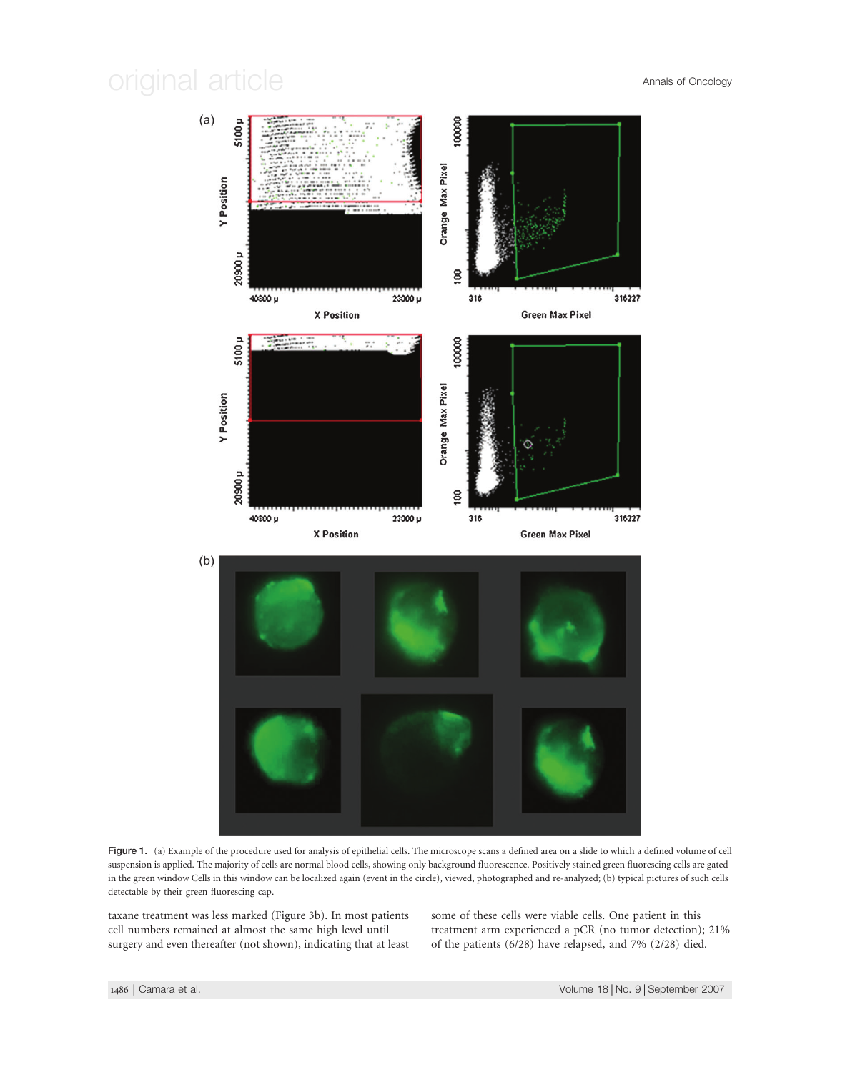

Figure 1. (a) Example of the procedure used for analysis of epithelial cells. The microscope scans a defined area on a slide to which a defined volume of cell suspension is applied. The majority of cells are normal blood cells, showing only background fluorescence. Positively stained green fluorescing cells are gated in the green window Cells in this window can be localized again (event in the circle), viewed, photographed and re-analyzed; (b) typical pictures of such cells detectable by their green fluorescing cap.

taxane treatment was less marked (Figure 3b). In most patients cell numbers remained at almost the same high level until surgery and even thereafter (not shown), indicating that at least some of these cells were viable cells. One patient in this treatment arm experienced a pCR (no tumor detection); 21% of the patients (6/28) have relapsed, and 7% (2/28) died.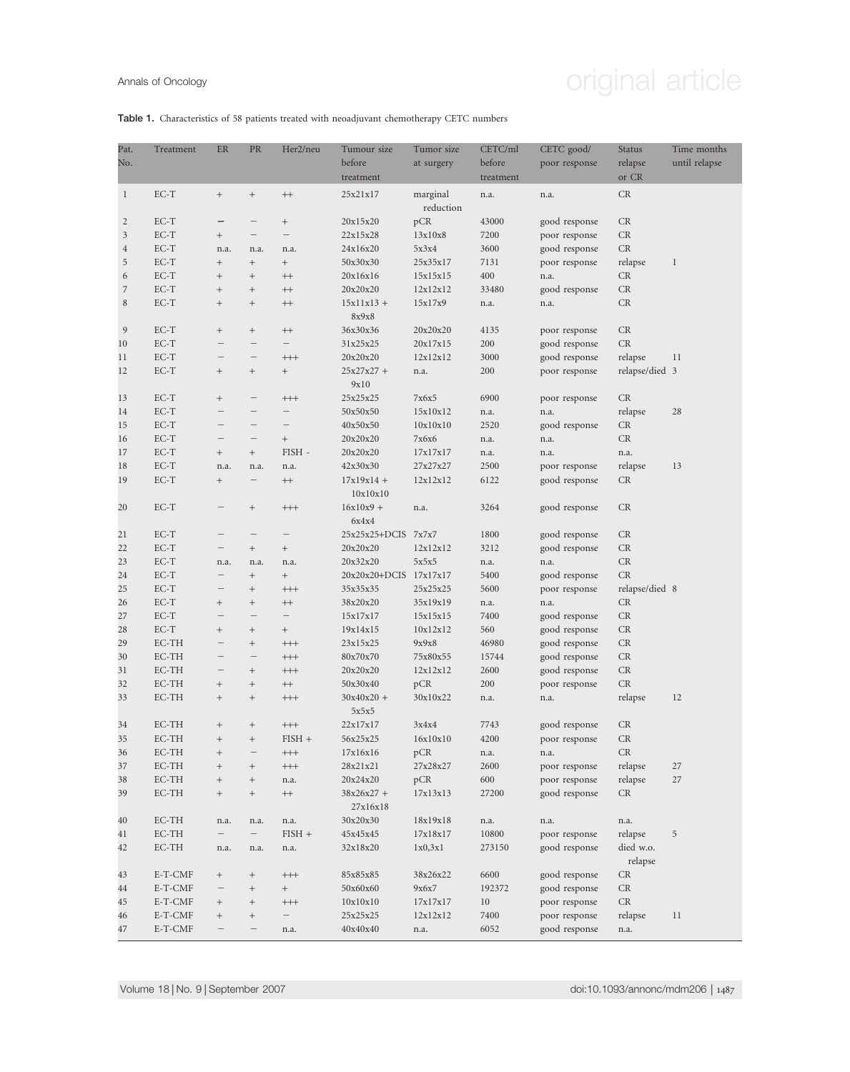# Annals of Oncology **Annals of Oncology original article**

#### Table 1. Characteristics of 58 patients treated with neoadjuvant chemotherapy CETC numbers

| Pat.         | Treatment | ER                       | PR                               | Her2/neu          | Tumour size              | Tumor size            | CETC/ml             | CETC good/    | <b>Status</b>            | Time months   |
|--------------|-----------|--------------------------|----------------------------------|-------------------|--------------------------|-----------------------|---------------------|---------------|--------------------------|---------------|
| No.          |           |                          |                                  |                   | before<br>treatment      | at surgery            | before<br>treatment | poor response | relapse<br>or CR         | until relapse |
| $\mathbf{1}$ | $EC-T$    | $^+$                     | $\! + \!$                        | $^{\rm ++}$       | 25x21x17                 | marginal<br>reduction | n.a.                | n.a.          | CR                       |               |
| 2            | $EC-T$    |                          |                                  | $\! + \!\!\!\!$   | 20x15x20                 | pCR                   | 43000               | good response | CR                       |               |
| 3            | $EC-T$    | $\! + \!\!\!\!$          |                                  |                   | 22x15x28                 | 13x10x8               | 7200                | poor response | CR                       |               |
| 4            | $EC-T$    | n.a.                     | n.a.                             | n.a.              | 24x16x20                 | 5x3x4                 | 3600                | good response | CR                       |               |
| 5            | $EC-T$    |                          | $^{+}$                           | $\! + \!\!\!\!$   | 50x30x30                 | 25x35x17              | 7131                | poor response | relapse                  | $\mathbf{1}$  |
| 6            | $EC-T$    | $\! + \!\!\!\!$          | $\! + \!\!\!\!$                  | $^{\rm ++}$       | 20x16x16                 | 15x15x15              | 400                 | n.a.          | <b>CR</b>                |               |
| 7            | $EC-T$    | $\! + \!\!\!\!$          | $^+$                             | $^{++}$           | 20x20x20                 | 12x12x12              | 33480               | good response | CR                       |               |
| 8            | $EC-T$    | $\! + \!\!\!\!$          | $^+$                             | $++$              | $15x11x13 +$<br>8x9x8    | 15x17x9               | n.a.                | n.a.          | CR                       |               |
| 9            | $EC-T$    | $\! + \!\!\!\!$          | $\! + \!\!\!\!$                  | $++$              | 36x30x36                 | 20x20x20              | 4135                | poor response | CR                       |               |
| 10           | $EC-T$    |                          |                                  |                   | 31x25x25                 | 20x17x15              | 200                 | good response | CR                       |               |
| 11           | $EC-T$    |                          | $\qquad \qquad$                  | $^{+++}$          | 20x20x20                 | 12x12x12              | 3000                | good response | relapse                  | 11            |
| 12           | $EC-T$    | $\! + \!\!\!\!$          | $^+$                             | $\! + \!\!\!\!$   | $25x27x27 +$<br>9x10     | n.a.                  | 200                 | poor response | relapse/died 3           |               |
| 13           | EC-T      | $\! + \!\!\!\!$          | $\qquad \qquad -$                | $^{+++}$          | 25x25x25                 | 7x6x5                 | 6900                | poor response | CR                       |               |
| 14           | $EC-T$    |                          | $\overline{\phantom{m}}$         |                   | 50x50x50                 | 15x10x12              | n.a.                | n.a.          | relapse                  | 28            |
| 15           | $EC-T$    | $\qquad \qquad$          |                                  |                   | 40x50x50                 | 10x10x10              | 2520                | good response | CR                       |               |
| 16           | $EC-T$    |                          |                                  | $\! + \!\!\!\!$   | 20x20x20                 | 7x6x6                 | n.a.                | n.a.          | CR                       |               |
| 17           | $EC-T$    | $\! + \!\!\!\!$          | $\begin{array}{c} + \end{array}$ | FISH -            | 20x20x20                 | 17x17x17              | n.a.                | n.a.          | n.a.                     |               |
| 18           | $EC-T$    | n.a.                     | n.a.                             | n.a.              | 42x30x30                 | 27x27x27              | 2500                | poor response | relapse                  | 13            |
| 19           | $EC-T$    | $\! + \!\!\!\!$          | $\qquad \qquad$                  | $^{\rm ++}$       | $17x19x14 +$<br>10x10x10 | 12x12x12              | 6122                | good response | CR                       |               |
| 20           | $EC-T$    | $\qquad \qquad$          | $\begin{array}{c} + \end{array}$ | $^{+++}$          | $16x10x9 +$<br>6x4x4     | n.a.                  | 3264                | good response | CR                       |               |
| 21           | EC-T      |                          | $\overline{\phantom{m}}$         |                   | $25x25x25+DCIS$          | 7x7x7                 | 1800                | good response | <b>CR</b>                |               |
| 22           | $EC-T$    | $\overline{\phantom{m}}$ | $\begin{array}{c} + \end{array}$ | $\! + \!\!\!\!$   | 20x20x20                 | 12x12x12              | 3212                | good response | CR                       |               |
| 23           | $EC-T$    | n.a.                     | n.a.                             | n.a.              | 20x32x20                 | 5x5x5                 | n.a.                | n.a.          | CR                       |               |
| 24           | $EC-T$    |                          | $\! + \!\!\!\!$                  | $\! + \!\!\!\!$   | $20x20x20+DCIS$          | 17x17x17              | 5400                | good response | $\mathrm{CR}$            |               |
| 25           | $EC-T$    | $\qquad \qquad -$        | $\! + \!\!\!\!$                  | $^{+++}$          | 35x35x35                 | 25x25x25              | 5600                | poor response | relapse/died 8           |               |
| 26           | $EC-T$    | $^{+}$                   | $\! + \!\!\!\!$                  | $^{\rm ++}$       | 38x20x20                 | 35x19x19              | n.a.                | n.a.          | CR                       |               |
| 27           | $EC-T$    |                          |                                  | —                 | 15x17x17                 | 15x15x15              | 7400                | good response | CR                       |               |
| 28           | $EC-T$    | $^{+}$                   | $\! + \!\!\!\!$                  | $\! + \!\!\!\!$   | 19x14x15                 | 10x12x12              | 560                 | good response | CR                       |               |
| 29           | EC-TH     |                          | $^{+}$                           | $^{+++}$          | 23x15x25                 | 9x9x8                 | 46980               | good response | $\mathrm{CR}$            |               |
| 30           | EC-TH     |                          |                                  | $^{+++}$          | 80x70x70                 | 75x80x55              | 15744               | good response | CR                       |               |
| 31           | EC-TH     |                          | $\! + \!\!\!\!$                  | $^{+++}$          | 20x20x20                 | 12x12x12              | 2600                | good response | CR                       |               |
| 32           | EC-TH     | $\! + \!\!\!\!$          | $^+$                             | $^{++}$           | 50x30x40                 | pCR                   | 200                 | poor response | CR                       |               |
| 33           | $EC-TH$   | $+$                      | $\pm$                            | $^{++}$           | $30x40x20 +$<br>5x5x5    | $30x10x22$            | n.a.                | n.a.          | $\operatorname{relapse}$ | 12            |
| 34           | EC-TH     | $^+$                     | $^+$                             | $++++$            | 22x17x17                 | 3x4x4                 | 7743                | good response | CR                       |               |
| 35           | EC-TH     | $\! + \!\!\!\!$          | $^+$                             | $FISH +$          | 56x25x25                 | 16x10x10              | 4200                | poor response | $\mathrm{CR}$            |               |
| 36           | EC-TH     | $\! + \!\!\!\!$          | $\qquad \qquad -$                | $\!$              | 17x16x16                 | pCR                   | n.a.                | n.a.          | $\mathrm{CR}$            |               |
| 37           | EC-TH     | $\! + \!\!\!\!$          | $^+$                             | $^{+++}$          | 28x21x21                 | 27x28x27              | 2600                | poor response | relapse                  | 27            |
| 38           | EC-TH     | $^+$                     | $^+$                             | n.a.              | 20x24x20                 | pCR                   | $600\,$             | poor response | relapse                  | 27            |
| 39           | EC-TH     | $\! + \!\!\!\!$          | $\! + \!$                        | $^{++}\,$         | $38x26x27 +$<br>27x16x18 | 17x13x13              | 27200               | good response | CR                       |               |
| 40           | EC-TH     | n.a.                     | n.a.                             | n.a.              | 30x20x30                 | 18x19x18              | n.a.                | n.a.          | n.a.                     |               |
| 41           | EC-TH     | $\qquad \qquad -$        |                                  | $FISH +$          | 45x45x45                 | 17x18x17              | 10800               | poor response | relapse                  | 5             |
| 42           | EC-TH     | n.a.                     | n.a.                             | n.a.              | 32x18x20                 | 1x0,3x1               | 273150              | good response | died w.o.<br>relapse     |               |
| 43           | E-T-CMF   | $\! + \!\!\!\!$          | $\! + \!\!\!\!$                  | $^{+++}$          | 85x85x85                 | 38x26x22              | 6600                | good response | $\mathcal{C}\mathcal{R}$ |               |
| 44           | E-T-CMF   | $\qquad \qquad -$        | $\! + \!\!\!\!$                  | $\qquad \qquad +$ | 50x60x60                 | 9x6x7                 | 192372              | good response | $\mathrm{CR}$            |               |
| 45           | E-T-CMF   | $^+$                     | $\! + \!$                        | $^{+++}$          | 10x10x10                 | 17x17x17              | 10                  | poor response | CR                       |               |
| 46           | E-T-CMF   | $^+$                     | $^+$                             |                   | 25x25x25                 | 12x12x12              | 7400                | poor response | relapse                  | 11            |
| 47           | E-T-CMF   |                          | $\qquad \qquad -$                | n.a.              | 40x40x40                 | n.a.                  | 6052                | good response | n.a.                     |               |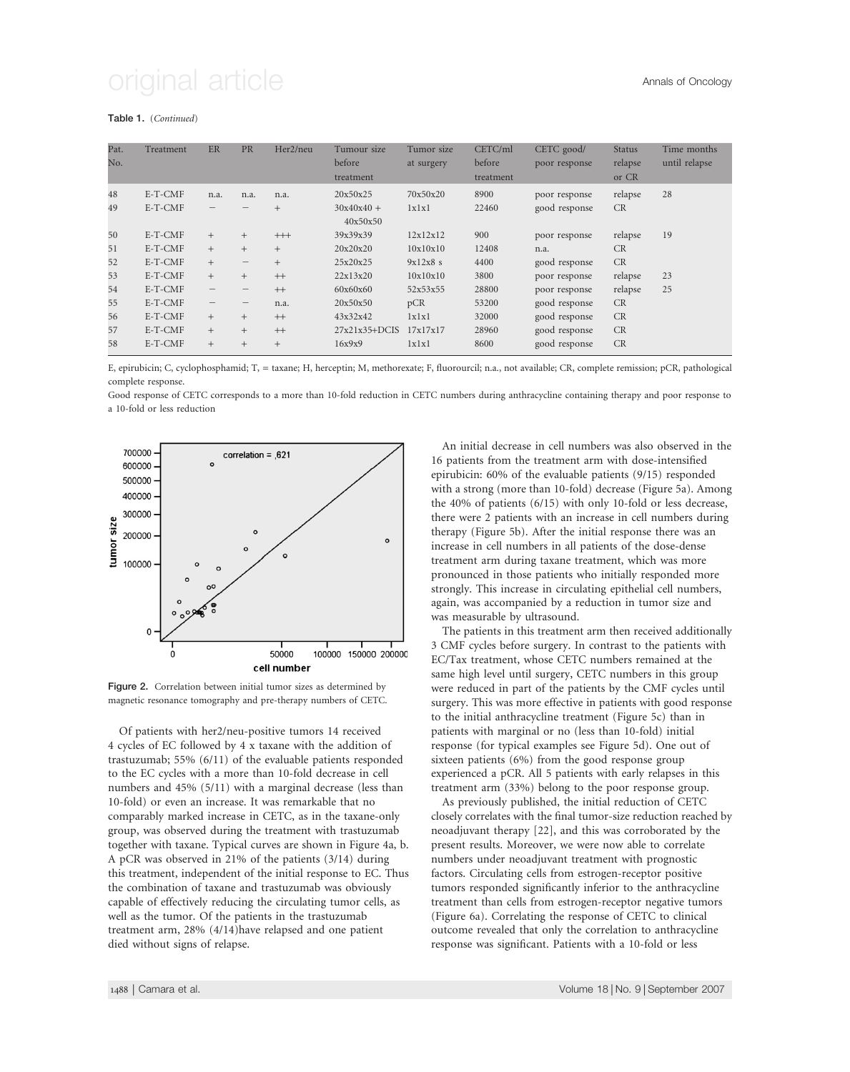#### Table 1. (Continued)

| Pat. | Treatment | <b>ER</b>                | <b>PR</b>                       | Her2/neu | Tumour size     | Tumor size | CETC/ml   | CETC good/    | <b>Status</b> | Time months   |
|------|-----------|--------------------------|---------------------------------|----------|-----------------|------------|-----------|---------------|---------------|---------------|
| No.  |           |                          |                                 |          | before          | at surgery | before    | poor response | relapse       | until relapse |
|      |           |                          |                                 |          | treatment       |            | treatment |               | or CR         |               |
| 48   | E-T-CMF   | n.a.                     | n.a.                            | n.a.     | 20x50x25        | 70x50x20   | 8900      | poor response | relapse       | 28            |
| 49   | E-T-CMF   |                          |                                 | $^{+}$   | $30x40x40 +$    | 1x1x1      | 22460     | good response | <b>CR</b>     |               |
|      |           |                          |                                 |          | 40x50x50        |            |           |               |               |               |
| 50   | E-T-CMF   | $+$                      | $+$                             | $^{+++}$ | 39x39x39        | 12x12x12   | 900       | poor response | relapse       | 19            |
| 51   | E-T-CMF   | $+$                      | $^{+}$                          | $^{+}$   | 20x20x20        | 10x10x10   | 12408     | n.a.          | CR            |               |
| 52   | E-T-CMF   | $+$                      | $\hspace{0.1mm}-\hspace{0.1mm}$ | $^{+}$   | 25x20x25        | 9x12x8s    | 4400      | good response | CR            |               |
| 53   | E-T-CMF   | $+$                      | $^{+}$                          | $++$     | 22x13x20        | 10x10x10   | 3800      | poor response | relapse       | 23            |
| 54   | E-T-CMF   | $\qquad \qquad -$        | $\hspace{0.1mm}-\hspace{0.1mm}$ | $++$     | 60x60x60        | 52x53x55   | 28800     | poor response | relapse       | 25            |
| 55   | E-T-CMF   | $\overline{\phantom{m}}$ | -                               | n.a.     | 20x50x50        | pCR        | 53200     | good response | CR            |               |
| 56   | E-T-CMF   | $+$                      | $^{+}$                          | $++$     | 43x32x42        | lxlxl      | 32000     | good response | CR            |               |
| 57   | E-T-CMF   | $+$                      | $^{+}$                          | $++$     | $27x21x35+DCIS$ | 17x17x17   | 28960     | good response | CR            |               |
| 58   | E-T-CMF   | $+$                      | $\! + \!\!\!\!$                 | $^{+}$   | 16x9x9          | 1x1x1      | 8600      | good response | CR            |               |

E, epirubicin; C, cyclophosphamid; T, = taxane; H, herceptin; M, methorexate; F, fluorourcil; n.a., not available; CR, complete remission; pCR, pathological complete response.

Good response of CETC corresponds to a more than 10-fold reduction in CETC numbers during anthracycline containing therapy and poor response to a 10-fold or less reduction



Figure 2. Correlation between initial tumor sizes as determined by magnetic resonance tomography and pre-therapy numbers of CETC.

Of patients with her2/neu-positive tumors 14 received 4 cycles of EC followed by 4 x taxane with the addition of trastuzumab; 55% (6/11) of the evaluable patients responded to the EC cycles with a more than 10-fold decrease in cell numbers and 45% (5/11) with a marginal decrease (less than 10-fold) or even an increase. It was remarkable that no comparably marked increase in CETC, as in the taxane-only group, was observed during the treatment with trastuzumab together with taxane. Typical curves are shown in Figure 4a, b. A pCR was observed in 21% of the patients (3/14) during this treatment, independent of the initial response to EC. Thus the combination of taxane and trastuzumab was obviously capable of effectively reducing the circulating tumor cells, as well as the tumor. Of the patients in the trastuzumab treatment arm, 28% (4/14)have relapsed and one patient died without signs of relapse.

An initial decrease in cell numbers was also observed in the 16 patients from the treatment arm with dose-intensified epirubicin: 60% of the evaluable patients (9/15) responded with a strong (more than 10-fold) decrease (Figure 5a). Among the 40% of patients (6/15) with only 10-fold or less decrease, there were 2 patients with an increase in cell numbers during therapy (Figure 5b). After the initial response there was an increase in cell numbers in all patients of the dose-dense treatment arm during taxane treatment, which was more pronounced in those patients who initially responded more strongly. This increase in circulating epithelial cell numbers, again, was accompanied by a reduction in tumor size and was measurable by ultrasound.

The patients in this treatment arm then received additionally 3 CMF cycles before surgery. In contrast to the patients with EC/Tax treatment, whose CETC numbers remained at the same high level until surgery, CETC numbers in this group were reduced in part of the patients by the CMF cycles until surgery. This was more effective in patients with good response to the initial anthracycline treatment (Figure 5c) than in patients with marginal or no (less than 10-fold) initial response (for typical examples see Figure 5d). One out of sixteen patients (6%) from the good response group experienced a pCR. All 5 patients with early relapses in this treatment arm (33%) belong to the poor response group.

As previously published, the initial reduction of CETC closely correlates with the final tumor-size reduction reached by neoadjuvant therapy [22], and this was corroborated by the present results. Moreover, we were now able to correlate numbers under neoadjuvant treatment with prognostic factors. Circulating cells from estrogen-receptor positive tumors responded significantly inferior to the anthracycline treatment than cells from estrogen-receptor negative tumors (Figure 6a). Correlating the response of CETC to clinical outcome revealed that only the correlation to anthracycline response was significant. Patients with a 10-fold or less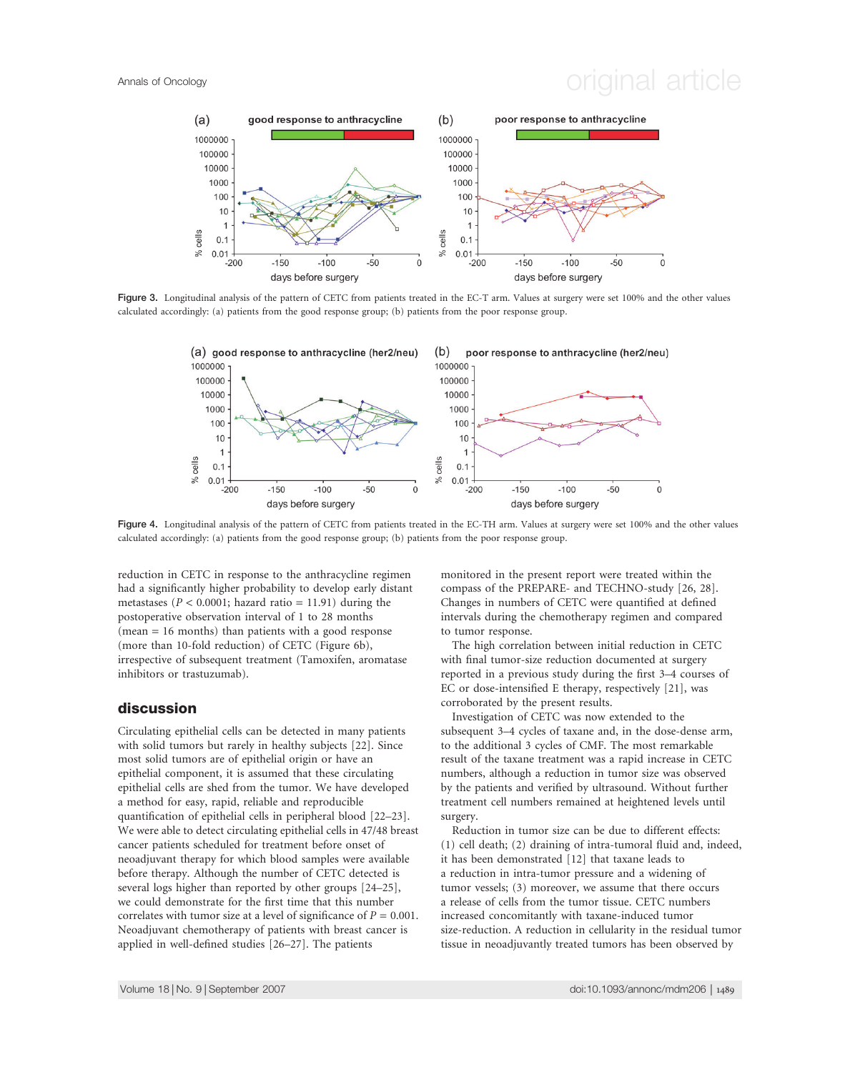## Annals of Oncology **Annals of Oncology** original article



Figure 3. Longitudinal analysis of the pattern of CETC from patients treated in the EC-T arm. Values at surgery were set 100% and the other values calculated accordingly: (a) patients from the good response group; (b) patients from the poor response group.



Figure 4. Longitudinal analysis of the pattern of CETC from patients treated in the EC-TH arm. Values at surgery were set 100% and the other values calculated accordingly: (a) patients from the good response group; (b) patients from the poor response group.

reduction in CETC in response to the anthracycline regimen had a significantly higher probability to develop early distant metastases ( $P < 0.0001$ ; hazard ratio = 11.91) during the postoperative observation interval of 1 to 28 months (mean = 16 months) than patients with a good response (more than 10-fold reduction) of CETC (Figure 6b), irrespective of subsequent treatment (Tamoxifen, aromatase inhibitors or trastuzumab).

#### discussion

Circulating epithelial cells can be detected in many patients with solid tumors but rarely in healthy subjects [22]. Since most solid tumors are of epithelial origin or have an epithelial component, it is assumed that these circulating epithelial cells are shed from the tumor. We have developed a method for easy, rapid, reliable and reproducible quantification of epithelial cells in peripheral blood [22–23]. We were able to detect circulating epithelial cells in 47/48 breast cancer patients scheduled for treatment before onset of neoadjuvant therapy for which blood samples were available before therapy. Although the number of CETC detected is several logs higher than reported by other groups [24–25], we could demonstrate for the first time that this number correlates with tumor size at a level of significance of  $P = 0.001$ . Neoadjuvant chemotherapy of patients with breast cancer is applied in well-defined studies [26–27]. The patients

monitored in the present report were treated within the compass of the PREPARE- and TECHNO-study [26, 28]. Changes in numbers of CETC were quantified at defined intervals during the chemotherapy regimen and compared to tumor response.

The high correlation between initial reduction in CETC with final tumor-size reduction documented at surgery reported in a previous study during the first 3–4 courses of EC or dose-intensified E therapy, respectively [21], was corroborated by the present results.

Investigation of CETC was now extended to the subsequent 3–4 cycles of taxane and, in the dose-dense arm, to the additional 3 cycles of CMF. The most remarkable result of the taxane treatment was a rapid increase in CETC numbers, although a reduction in tumor size was observed by the patients and verified by ultrasound. Without further treatment cell numbers remained at heightened levels until surgery.

Reduction in tumor size can be due to different effects: (1) cell death; (2) draining of intra-tumoral fluid and, indeed, it has been demonstrated [12] that taxane leads to a reduction in intra-tumor pressure and a widening of tumor vessels; (3) moreover, we assume that there occurs a release of cells from the tumor tissue. CETC numbers increased concomitantly with taxane-induced tumor size-reduction. A reduction in cellularity in the residual tumor tissue in neoadjuvantly treated tumors has been observed by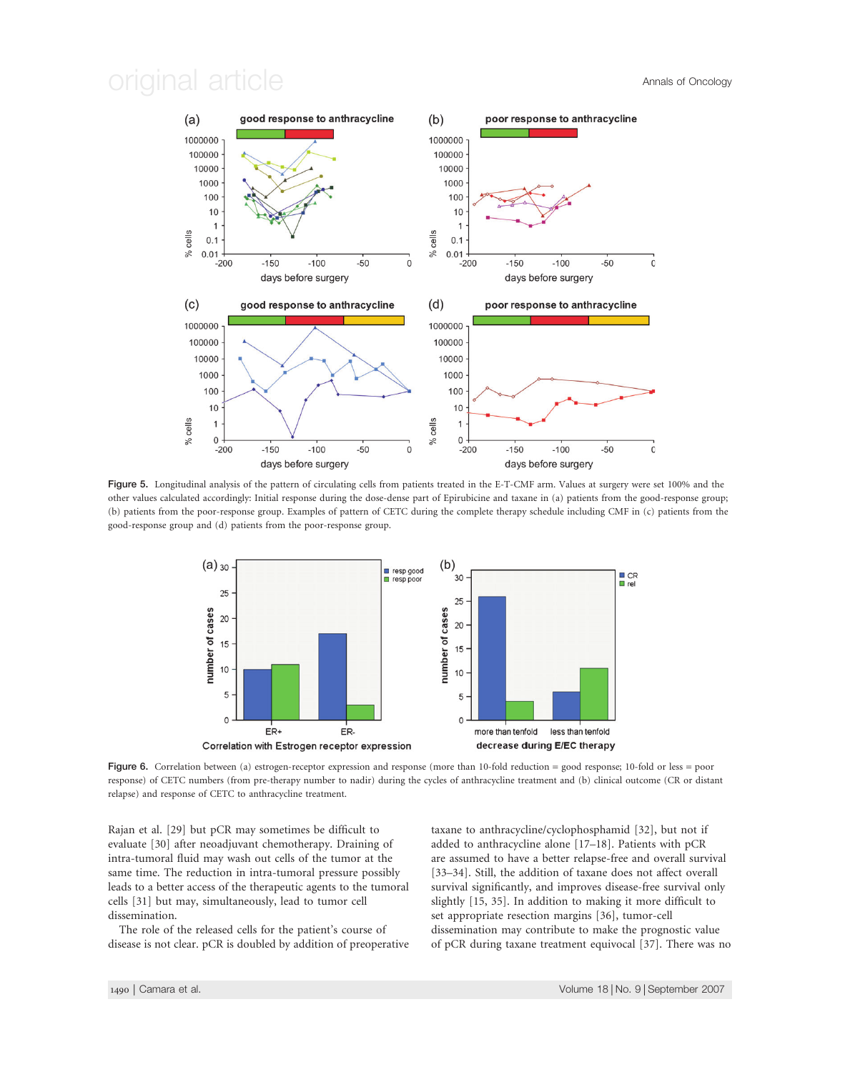

Figure 5. Longitudinal analysis of the pattern of circulating cells from patients treated in the E-T-CMF arm. Values at surgery were set 100% and the other values calculated accordingly: Initial response during the dose-dense part of Epirubicine and taxane in (a) patients from the good-response group; (b) patients from the poor-response group. Examples of pattern of CETC during the complete therapy schedule including CMF in (c) patients from the good-response group and (d) patients from the poor-response group.



Figure 6. Correlation between (a) estrogen-receptor expression and response (more than 10-fold reduction = good response; 10-fold or less = poor response) of CETC numbers (from pre-therapy number to nadir) during the cycles of anthracycline treatment and (b) clinical outcome (CR or distant relapse) and response of CETC to anthracycline treatment.

Rajan et al. [29] but pCR may sometimes be difficult to evaluate [30] after neoadjuvant chemotherapy. Draining of intra-tumoral fluid may wash out cells of the tumor at the same time. The reduction in intra-tumoral pressure possibly leads to a better access of the therapeutic agents to the tumoral cells [31] but may, simultaneously, lead to tumor cell dissemination.

The role of the released cells for the patient's course of disease is not clear. pCR is doubled by addition of preoperative taxane to anthracycline/cyclophosphamid [32], but not if added to anthracycline alone [17–18]. Patients with pCR are assumed to have a better relapse-free and overall survival [33–34]. Still, the addition of taxane does not affect overall survival significantly, and improves disease-free survival only slightly [15, 35]. In addition to making it more difficult to set appropriate resection margins [36], tumor-cell dissemination may contribute to make the prognostic value of pCR during taxane treatment equivocal [37]. There was no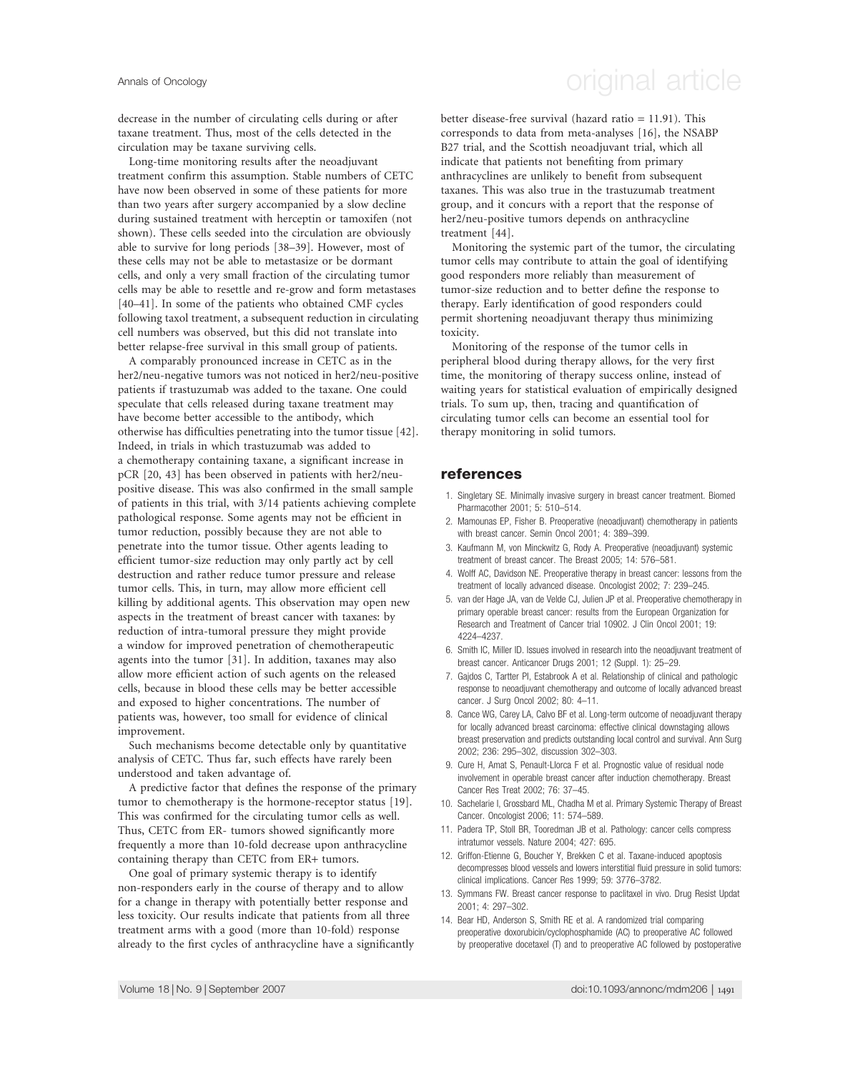decrease in the number of circulating cells during or after taxane treatment. Thus, most of the cells detected in the circulation may be taxane surviving cells.

Long-time monitoring results after the neoadjuvant treatment confirm this assumption. Stable numbers of CETC have now been observed in some of these patients for more than two years after surgery accompanied by a slow decline during sustained treatment with herceptin or tamoxifen (not shown). These cells seeded into the circulation are obviously able to survive for long periods [38–39]. However, most of these cells may not be able to metastasize or be dormant cells, and only a very small fraction of the circulating tumor cells may be able to resettle and re-grow and form metastases [40–41]. In some of the patients who obtained CMF cycles following taxol treatment, a subsequent reduction in circulating cell numbers was observed, but this did not translate into better relapse-free survival in this small group of patients.

A comparably pronounced increase in CETC as in the her2/neu-negative tumors was not noticed in her2/neu-positive patients if trastuzumab was added to the taxane. One could speculate that cells released during taxane treatment may have become better accessible to the antibody, which otherwise has difficulties penetrating into the tumor tissue [42]. Indeed, in trials in which trastuzumab was added to a chemotherapy containing taxane, a significant increase in pCR [20, 43] has been observed in patients with her2/neupositive disease. This was also confirmed in the small sample of patients in this trial, with 3/14 patients achieving complete pathological response. Some agents may not be efficient in tumor reduction, possibly because they are not able to penetrate into the tumor tissue. Other agents leading to efficient tumor-size reduction may only partly act by cell destruction and rather reduce tumor pressure and release tumor cells. This, in turn, may allow more efficient cell killing by additional agents. This observation may open new aspects in the treatment of breast cancer with taxanes: by reduction of intra-tumoral pressure they might provide a window for improved penetration of chemotherapeutic agents into the tumor [31]. In addition, taxanes may also allow more efficient action of such agents on the released cells, because in blood these cells may be better accessible and exposed to higher concentrations. The number of patients was, however, too small for evidence of clinical improvement.

Such mechanisms become detectable only by quantitative analysis of CETC. Thus far, such effects have rarely been understood and taken advantage of.

A predictive factor that defines the response of the primary tumor to chemotherapy is the hormone-receptor status [19]. This was confirmed for the circulating tumor cells as well. Thus, CETC from ER- tumors showed significantly more frequently a more than 10-fold decrease upon anthracycline containing therapy than CETC from ER+ tumors.

One goal of primary systemic therapy is to identify non-responders early in the course of therapy and to allow for a change in therapy with potentially better response and less toxicity. Our results indicate that patients from all three treatment arms with a good (more than 10-fold) response already to the first cycles of anthracycline have a significantly

### Annals of Oncology **Annals of Oncology** original article

better disease-free survival (hazard ratio = 11.91). This corresponds to data from meta-analyses [16], the NSABP B27 trial, and the Scottish neoadjuvant trial, which all indicate that patients not benefiting from primary anthracyclines are unlikely to benefit from subsequent taxanes. This was also true in the trastuzumab treatment group, and it concurs with a report that the response of her2/neu-positive tumors depends on anthracycline treatment [44].

Monitoring the systemic part of the tumor, the circulating tumor cells may contribute to attain the goal of identifying good responders more reliably than measurement of tumor-size reduction and to better define the response to therapy. Early identification of good responders could permit shortening neoadjuvant therapy thus minimizing toxicity.

Monitoring of the response of the tumor cells in peripheral blood during therapy allows, for the very first time, the monitoring of therapy success online, instead of waiting years for statistical evaluation of empirically designed trials. To sum up, then, tracing and quantification of circulating tumor cells can become an essential tool for therapy monitoring in solid tumors.

#### references

- 1. Singletary SE. Minimally invasive surgery in breast cancer treatment. Biomed Pharmacother 2001; 5: 510–514.
- 2. Mamounas EP, Fisher B. Preoperative (neoadjuvant) chemotherapy in patients with breast cancer. Semin Oncol 2001; 4: 389–399.
- 3. Kaufmann M, von Minckwitz G, Rody A. Preoperative (neoadjuvant) systemic treatment of breast cancer. The Breast 2005; 14: 576–581.
- 4. Wolff AC, Davidson NE. Preoperative therapy in breast cancer: lessons from the treatment of locally advanced disease. Oncologist 2002; 7: 239–245.
- 5. van der Hage JA, van de Velde CJ, Julien JP et al. Preoperative chemotherapy in primary operable breast cancer: results from the European Organization for Research and Treatment of Cancer trial 10902. J Clin Oncol 2001; 19: 4224–4237.
- 6. Smith IC, Miller ID. Issues involved in research into the neoadjuvant treatment of breast cancer. Anticancer Drugs 2001; 12 (Suppl. 1): 25–29.
- 7. Gajdos C, Tartter PI, Estabrook A et al. Relationship of clinical and pathologic response to neoadjuvant chemotherapy and outcome of locally advanced breast cancer. J Surg Oncol 2002; 80: 4–11.
- 8. Cance WG, Carey LA, Calvo BF et al. Long-term outcome of neoadjuvant therapy for locally advanced breast carcinoma: effective clinical downstaging allows breast preservation and predicts outstanding local control and survival. Ann Surg 2002; 236: 295–302, discussion 302–303.
- 9. Cure H, Amat S, Penault-Llorca F et al. Prognostic value of residual node involvement in operable breast cancer after induction chemotherapy. Breast Cancer Res Treat 2002; 76: 37–45.
- 10. Sachelarie I, Grossbard ML, Chadha M et al. Primary Systemic Therapy of Breast Cancer. Oncologist 2006; 11: 574–589.
- 11. Padera TP, Stoll BR, Tooredman JB et al. Pathology: cancer cells compress intratumor vessels. Nature 2004; 427: 695.
- 12. Griffon-Etienne G, Boucher Y, Brekken C et al. Taxane-induced apoptosis decompresses blood vessels and lowers interstitial fluid pressure in solid tumors: clinical implications. Cancer Res 1999; 59: 3776–3782.
- 13. Symmans FW. Breast cancer response to paclitaxel in vivo. Drug Resist Updat 2001; 4: 297–302.
- 14. Bear HD, Anderson S, Smith RE et al. A randomized trial comparing preoperative doxorubicin/cyclophosphamide (AC) to preoperative AC followed by preoperative docetaxel (T) and to preoperative AC followed by postoperative